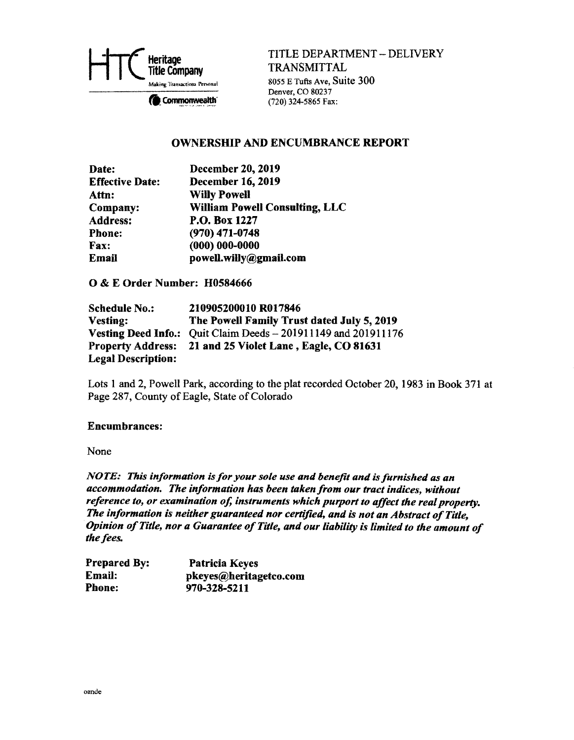

TITLE DEPARTMENT- DELIVERY TRANSMITTAL

8055 E Tufts Ave, Suite 300 Denver, CO 80237 Commonwealth  $(720)$  324-5865 Fax:

### OWNERSHIP AND ENCUMBRANCE REPORT

| Date:                  | <b>December 20, 2019</b>              |
|------------------------|---------------------------------------|
| <b>Effective Date:</b> | <b>December 16, 2019</b>              |
| Attn:                  | <b>Willy Powell</b>                   |
| Company:               | <b>William Powell Consulting, LLC</b> |
| <b>Address:</b>        | P.O. Box 1227                         |
| <b>Phone:</b>          | $(970)$ 471-0748                      |
| Fax:                   | $(000) 000 - 0000$                    |
| <b>Email</b>           | powell.willy@gmail.com                |

0 & E Order Number: H0584666

| <b>Schedule No.:</b>      | 210905200010 R017846                                           |
|---------------------------|----------------------------------------------------------------|
| Vesting:                  | The Powell Family Trust dated July 5, 2019                     |
|                           | Vesting Deed Info.: Quit Claim Deeds - 201911149 and 201911176 |
|                           | Property Address: 21 and 25 Violet Lane, Eagle, CO 81631       |
| <b>Legal Description:</b> |                                                                |

Lots 1 and 2, Powell Park, according to the plat recorded October 20, 1983 in Book 371 at Page 287, County of Eagle, State of Colorado

### Encumbrances:

None

*NOTE: This information is for your sole use and benefit and is furnished as an accommodation. The information has been taken from our tract indices, without reference to, or examination of, instruments which purport to affect the real property. The information is neither guaranteed nor certified, and is not an Abstract of Title, Opinion of Title, nor a Guarantee of Title, and our liability is limited to the amount of the fees.* 

| <b>Prepared By:</b> | Patricia Keyes         |
|---------------------|------------------------|
| Email:              | pkeyes@heritagetco.com |
| Phone:              | 970-328-5211           |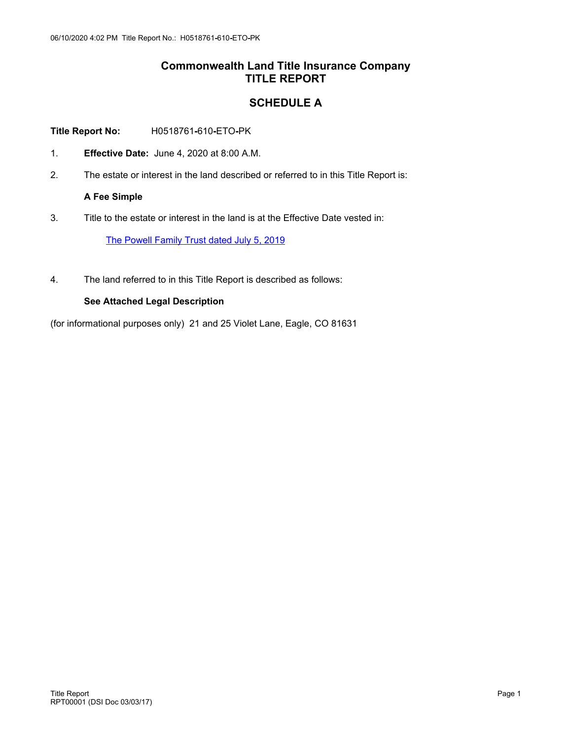## **Commonwealth Land Title Insurance Company TITLE REPORT**

## **SCHEDULE A**

**Title Report No:** H0518761**-**610**-**ETO**-**PK

- 1. **Effective Date:** June 4, 2020 at 8:00 A.M.
- 2. The estate or interest in the land described or referred to in this Title Report is:

**A Fee Simple** 

3. Title to the estate or interest in the land is at the Effective Date vested in:

[The](https://www.smartviewonline.net/Root/webstorage/orderguid/97336DDE-D1EE-4ECF-A887-E7BF3C9062A5/New vesting deeds.pdf) [Powell](https://www.smartviewonline.net/Root/webstorage/orderguid/97336DDE-D1EE-4ECF-A887-E7BF3C9062A5/New vesting deeds.pdf) [Family](https://www.smartviewonline.net/Root/webstorage/orderguid/97336DDE-D1EE-4ECF-A887-E7BF3C9062A5/New vesting deeds.pdf) [Trust](https://www.smartviewonline.net/Root/webstorage/orderguid/97336DDE-D1EE-4ECF-A887-E7BF3C9062A5/New vesting deeds.pdf) [dated](https://www.smartviewonline.net/Root/webstorage/orderguid/97336DDE-D1EE-4ECF-A887-E7BF3C9062A5/New vesting deeds.pdf) [July](https://www.smartviewonline.net/Root/webstorage/orderguid/97336DDE-D1EE-4ECF-A887-E7BF3C9062A5/New vesting deeds.pdf) [5,](https://www.smartviewonline.net/Root/webstorage/orderguid/97336DDE-D1EE-4ECF-A887-E7BF3C9062A5/New vesting deeds.pdf) [2019](https://www.smartviewonline.net/Root/webstorage/orderguid/97336DDE-D1EE-4ECF-A887-E7BF3C9062A5/New vesting deeds.pdf)

4. The land referred to in this Title Report is described as follows:

### **See Attached Legal Description**

(for informational purposes only) 21 and 25 Violet Lane, Eagle, CO 81631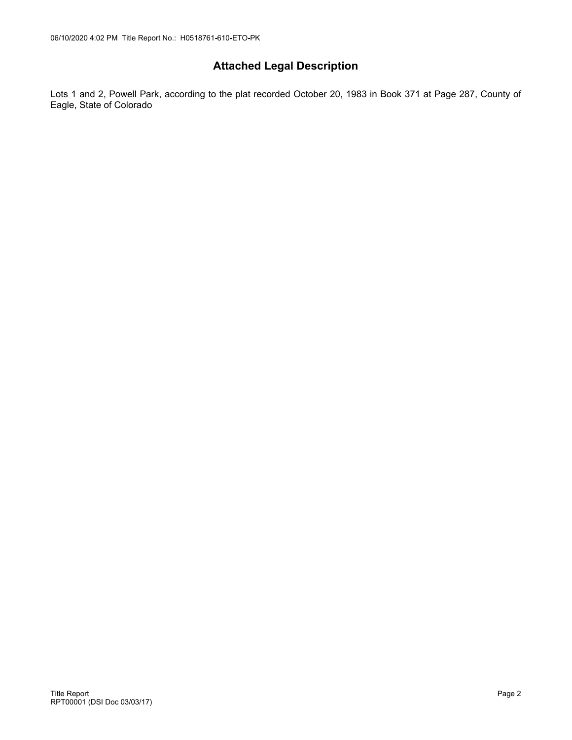# **Attached Legal Description**

Lots 1 and 2, Powell Park, according to the plat recorded October 20, 1983 in Book 371 at Page 287, County of Eagle, State of Colorado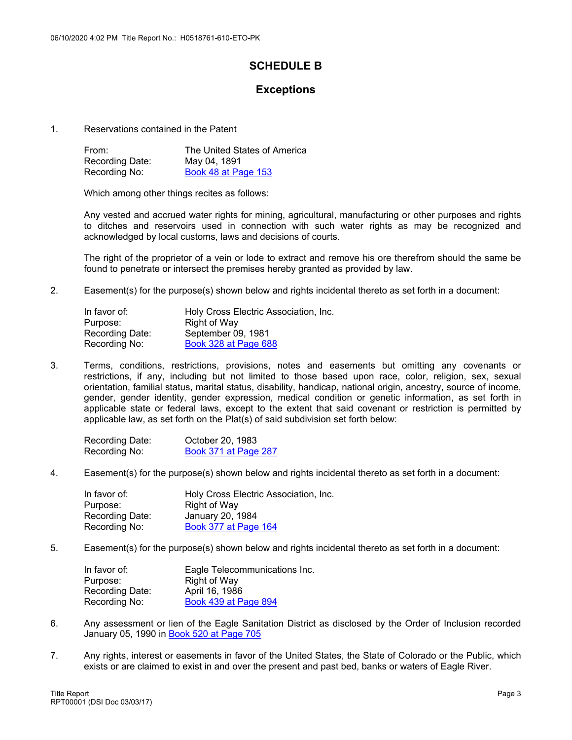# **SCHEDULE B**

## **Exceptions**

1. Reservations contained in the Patent

| From:           | The United States of America |
|-----------------|------------------------------|
| Recording Date: | May 04, 1891                 |
| Recording No:   | Book 48 at Page 153          |

Which among other things recites as follows:

Any vested and accrued water rights for mining, agricultural, manufacturing or other purposes and rights to ditches and reservoirs used in connection with such water rights as may be recognized and acknowledged by local customs, laws and decisions of courts.

The right of the proprietor of a vein or lode to extract and remove his ore therefrom should the same be found to penetrate or intersect the premises hereby granted as provided by law.

2. Easement(s) for the purpose(s) shown below and rights incidental thereto as set forth in a document:

| Holy Cross Electric Association, Inc. |
|---------------------------------------|
| Right of Way                          |
| September 09, 1981                    |
| <b>Book 328 at Page 688</b>           |
|                                       |

3. Terms, conditions, restrictions, provisions, notes and easements but omitting any covenants or restrictions, if any, including but not limited to those based upon race, color, religion, sex, sexual orientation, familial status, marital status, disability, handicap, national origin, ancestry, source of income, gender, gender identity, gender expression, medical condition or genetic information, as set forth in applicable state or federal laws, except to the extent that said covenant or restriction is permitted by applicable law, as set forth on the Plat(s) of said subdivision set forth below:

| Recording Date: | October 20, 1983     |
|-----------------|----------------------|
| Recording No:   | Book 371 at Page 287 |

4. Easement(s) for the purpose(s) shown below and rights incidental thereto as set forth in a document:

| In favor of:           | Holy Cross Electric Association, Inc. |
|------------------------|---------------------------------------|
| Purpose:               | Right of Way                          |
| <b>Recording Date:</b> | January 20, 1984                      |
| Recording No:          | Book 377 at Page 164                  |

5. Easement(s) for the purpose(s) shown below and rights incidental thereto as set forth in a document:

| In favor of:    | Eagle Telecommunications Inc. |
|-----------------|-------------------------------|
| Purpose:        | Right of Way                  |
| Recording Date: | April 16, 1986                |
| Recording No:   | Book 439 at Page 894          |

- 6. Any assessment or lien of the Eagle Sanitation District as disclosed by the Order of Inclusion recorded January 05, 1990 in [Book](http://www.smartviewonline.net/Root/webstorage/orderguid/F80E046B-1C07-4152-AFC3-6503C7D0D52B/Book 520 Page 705 Order of Inclusion.pdf) [520](http://www.smartviewonline.net/Root/webstorage/orderguid/F80E046B-1C07-4152-AFC3-6503C7D0D52B/Book 520 Page 705 Order of Inclusion.pdf) [at](http://www.smartviewonline.net/Root/webstorage/orderguid/F80E046B-1C07-4152-AFC3-6503C7D0D52B/Book 520 Page 705 Order of Inclusion.pdf) [Page](http://www.smartviewonline.net/Root/webstorage/orderguid/F80E046B-1C07-4152-AFC3-6503C7D0D52B/Book 520 Page 705 Order of Inclusion.pdf) [705](http://www.smartviewonline.net/Root/webstorage/orderguid/F80E046B-1C07-4152-AFC3-6503C7D0D52B/Book 520 Page 705 Order of Inclusion.pdf)
- 7. Any rights, interest or easements in favor of the United States, the State of Colorado or the Public, which exists or are claimed to exist in and over the present and past bed, banks or waters of Eagle River.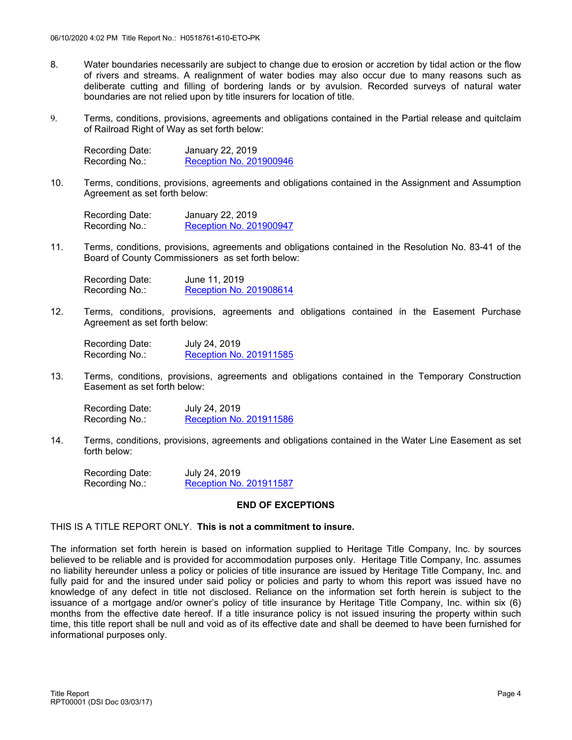- 8. Water boundaries necessarily are subject to change due to erosion or accretion by tidal action or the flow of rivers and streams. A realignment of water bodies may also occur due to many reasons such as deliberate cutting and filling of bordering lands or by avulsion. Recorded surveys of natural water boundaries are not relied upon by title insurers for location of title.
- 9. Terms, conditions, provisions, agreements and obligations contained in the Partial release and quitclaim of Railroad Right of Way as set forth below:

| Recording Date: | January 22, 2019        |
|-----------------|-------------------------|
| Recording No.:  | Reception No. 201900946 |

10. Terms, conditions, provisions, agreements and obligations contained in the Assignment and Assumption Agreement as set forth below:

Recording Date: January 22, 2019 Recording No.: [Reception](https://www.smartviewonline.net/Root/webstorage/orderguid/FF7334E4-B115-4C74-9B7A-CBE9EE6FD546/947-2019 Assignment and Assumption Agreement.pdf) [No.](https://www.smartviewonline.net/Root/webstorage/orderguid/FF7334E4-B115-4C74-9B7A-CBE9EE6FD546/947-2019 Assignment and Assumption Agreement.pdf) [201900947](https://www.smartviewonline.net/Root/webstorage/orderguid/FF7334E4-B115-4C74-9B7A-CBE9EE6FD546/947-2019 Assignment and Assumption Agreement.pdf)

11. Terms, conditions, provisions, agreements and obligations contained in the Resolution No. 83-41 of the Board of County Commissioners as set forth below:

Recording Date: June 11, 2019 Recording No.: [Reception](https://www.smartviewonline.net/Root/webstorage/orderguid/D8D7DF54-4D8D-4F84-BCEA-A560217F4C6D/8614-2019 Resolution.pdf) [No.](https://www.smartviewonline.net/Root/webstorage/orderguid/D8D7DF54-4D8D-4F84-BCEA-A560217F4C6D/8614-2019 Resolution.pdf) [201908614](https://www.smartviewonline.net/Root/webstorage/orderguid/D8D7DF54-4D8D-4F84-BCEA-A560217F4C6D/8614-2019 Resolution.pdf)

12. Terms, conditions, provisions, agreements and obligations contained in the Easement Purchase Agreement as set forth below:

Recording Date: July 24, 2019 Recording No.: [Reception](https://www.smartviewonline.net/Root/webstorage/orderguid/7A8AB04F-0815-4970-864C-1BDE11D24B6A/11585-2019 Easement Purchase Agreement.pdf) [No.](https://www.smartviewonline.net/Root/webstorage/orderguid/7A8AB04F-0815-4970-864C-1BDE11D24B6A/11585-2019 Easement Purchase Agreement.pdf) [201911585](https://www.smartviewonline.net/Root/webstorage/orderguid/7A8AB04F-0815-4970-864C-1BDE11D24B6A/11585-2019 Easement Purchase Agreement.pdf)

13. Terms, conditions, provisions, agreements and obligations contained in the Temporary Construction Easement as set forth below:

Recording Date: July 24, 2019 Recording No.: [Reception](https://www.smartviewonline.net/Root/webstorage/orderguid/18E9DC34-54C0-431E-BD1E-0D49EDECC1EC/11586-2019 Temp Const Easement.pdf) [No.](https://www.smartviewonline.net/Root/webstorage/orderguid/18E9DC34-54C0-431E-BD1E-0D49EDECC1EC/11586-2019 Temp Const Easement.pdf) [201911586](https://www.smartviewonline.net/Root/webstorage/orderguid/18E9DC34-54C0-431E-BD1E-0D49EDECC1EC/11586-2019 Temp Const Easement.pdf)

14. Terms, conditions, provisions, agreements and obligations contained in the Water Line Easement as set forth below:

Recording Date: July 24, 2019 Recording No.: [Reception](https://www.smartviewonline.net/Root/webstorage/orderguid/2F72EC71-619C-4681-AB50-203F6ABFBFD0/11587-2019 Water line easement.pdf) [No.](https://www.smartviewonline.net/Root/webstorage/orderguid/2F72EC71-619C-4681-AB50-203F6ABFBFD0/11587-2019 Water line easement.pdf) [201911587](https://www.smartviewonline.net/Root/webstorage/orderguid/2F72EC71-619C-4681-AB50-203F6ABFBFD0/11587-2019 Water line easement.pdf)

### **END OF EXCEPTIONS**

### THIS IS A TITLE REPORT ONLY. **This is not a commitment to insure.**

The information set forth herein is based on information supplied to Heritage Title Company, Inc. by sources believed to be reliable and is provided for accommodation purposes only. Heritage Title Company, Inc. assumes no liability hereunder unless a policy or policies of title insurance are issued by Heritage Title Company, Inc. and fully paid for and the insured under said policy or policies and party to whom this report was issued have no knowledge of any defect in title not disclosed. Reliance on the information set forth herein is subject to the issuance of a mortgage and/or owner's policy of title insurance by Heritage Title Company, Inc. within six (6) months from the effective date hereof. If a title insurance policy is not issued insuring the property within such time, this title report shall be null and void as of its effective date and shall be deemed to have been furnished for informational purposes only.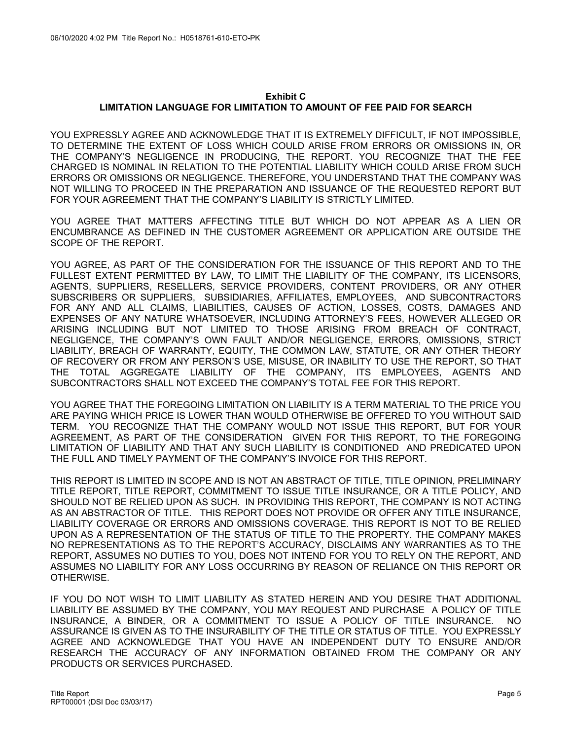#### **Exhibit C LIMITATION LANGUAGE FOR LIMITATION TO AMOUNT OF FEE PAID FOR SEARCH**

YOU EXPRESSLY AGREE AND ACKNOWLEDGE THAT IT IS EXTREMELY DIFFICULT, IF NOT IMPOSSIBLE, TO DETERMINE THE EXTENT OF LOSS WHICH COULD ARISE FROM ERRORS OR OMISSIONS IN, OR THE COMPANY'S NEGLIGENCE IN PRODUCING, THE REPORT. YOU RECOGNIZE THAT THE FEE CHARGED IS NOMINAL IN RELATION TO THE POTENTIAL LIABILITY WHICH COULD ARISE FROM SUCH ERRORS OR OMISSIONS OR NEGLIGENCE. THEREFORE, YOU UNDERSTAND THAT THE COMPANY WAS NOT WILLING TO PROCEED IN THE PREPARATION AND ISSUANCE OF THE REQUESTED REPORT BUT FOR YOUR AGREEMENT THAT THE COMPANY'S LIABILITY IS STRICTLY LIMITED.

YOU AGREE THAT MATTERS AFFECTING TITLE BUT WHICH DO NOT APPEAR AS A LIEN OR ENCUMBRANCE AS DEFINED IN THE CUSTOMER AGREEMENT OR APPLICATION ARE OUTSIDE THE SCOPE OF THE REPORT.

YOU AGREE, AS PART OF THE CONSIDERATION FOR THE ISSUANCE OF THIS REPORT AND TO THE FULLEST EXTENT PERMITTED BY LAW, TO LIMIT THE LIABILITY OF THE COMPANY, ITS LICENSORS, AGENTS, SUPPLIERS, RESELLERS, SERVICE PROVIDERS, CONTENT PROVIDERS, OR ANY OTHER SUBSCRIBERS OR SUPPLIERS, SUBSIDIARIES, AFFILIATES, EMPLOYEES, AND SUBCONTRACTORS FOR ANY AND ALL CLAIMS, LIABILITIES, CAUSES OF ACTION, LOSSES, COSTS, DAMAGES AND EXPENSES OF ANY NATURE WHATSOEVER, INCLUDING ATTORNEY'S FEES, HOWEVER ALLEGED OR ARISING INCLUDING BUT NOT LIMITED TO THOSE ARISING FROM BREACH OF CONTRACT, NEGLIGENCE, THE COMPANY'S OWN FAULT AND/OR NEGLIGENCE, ERRORS, OMISSIONS, STRICT LIABILITY, BREACH OF WARRANTY, EQUITY, THE COMMON LAW, STATUTE, OR ANY OTHER THEORY OF RECOVERY OR FROM ANY PERSON'S USE, MISUSE, OR INABILITY TO USE THE REPORT, SO THAT TOTAL AGGREGATE LIABILITY OF THE COMPANY, ITS EMPLOYEES, AGENTS AND SUBCONTRACTORS SHALL NOT EXCEED THE COMPANY'S TOTAL FEE FOR THIS REPORT.

YOU AGREE THAT THE FOREGOING LIMITATION ON LIABILITY IS A TERM MATERIAL TO THE PRICE YOU ARE PAYING WHICH PRICE IS LOWER THAN WOULD OTHERWISE BE OFFERED TO YOU WITHOUT SAID TERM. YOU RECOGNIZE THAT THE COMPANY WOULD NOT ISSUE THIS REPORT, BUT FOR YOUR AGREEMENT, AS PART OF THE CONSIDERATION GIVEN FOR THIS REPORT, TO THE FOREGOING LIMITATION OF LIABILITY AND THAT ANY SUCH LIABILITY IS CONDITIONED AND PREDICATED UPON THE FULL AND TIMELY PAYMENT OF THE COMPANY'S INVOICE FOR THIS REPORT.

THIS REPORT IS LIMITED IN SCOPE AND IS NOT AN ABSTRACT OF TITLE, TITLE OPINION, PRELIMINARY TITLE REPORT, TITLE REPORT, COMMITMENT TO ISSUE TITLE INSURANCE, OR A TITLE POLICY, AND SHOULD NOT BE RELIED UPON AS SUCH. IN PROVIDING THIS REPORT, THE COMPANY IS NOT ACTING AS AN ABSTRACTOR OF TITLE. THIS REPORT DOES NOT PROVIDE OR OFFER ANY TITLE INSURANCE, LIABILITY COVERAGE OR ERRORS AND OMISSIONS COVERAGE. THIS REPORT IS NOT TO BE RELIED UPON AS A REPRESENTATION OF THE STATUS OF TITLE TO THE PROPERTY. THE COMPANY MAKES NO REPRESENTATIONS AS TO THE REPORT'S ACCURACY, DISCLAIMS ANY WARRANTIES AS TO THE REPORT, ASSUMES NO DUTIES TO YOU, DOES NOT INTEND FOR YOU TO RELY ON THE REPORT, AND ASSUMES NO LIABILITY FOR ANY LOSS OCCURRING BY REASON OF RELIANCE ON THIS REPORT OR OTHERWISE.

IF YOU DO NOT WISH TO LIMIT LIABILITY AS STATED HEREIN AND YOU DESIRE THAT ADDITIONAL LIABILITY BE ASSUMED BY THE COMPANY, YOU MAY REQUEST AND PURCHASE A POLICY OF TITLE INSURANCE, A BINDER, OR A COMMITMENT TO ISSUE A POLICY OF TITLE INSURANCE. NO ASSURANCE IS GIVEN AS TO THE INSURABILITY OF THE TITLE OR STATUS OF TITLE. YOU EXPRESSLY AGREE AND ACKNOWLEDGE THAT YOU HAVE AN INDEPENDENT DUTY TO ENSURE AND/OR RESEARCH THE ACCURACY OF ANY INFORMATION OBTAINED FROM THE COMPANY OR ANY PRODUCTS OR SERVICES PURCHASED.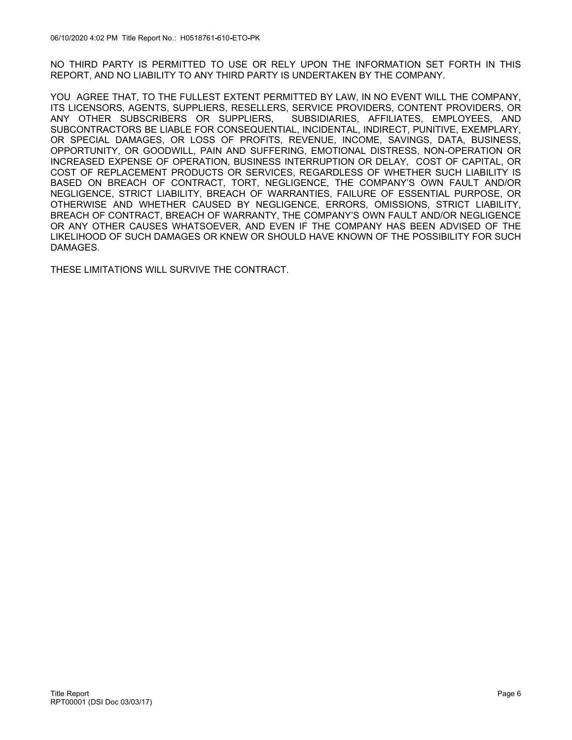NO THIRD PARTY IS PERMITTED TO USE OR RELY UPON THE INFORMATION SET FORTH IN THIS REPORT, AND NO LIABILITY TO ANY THIRD PARTY IS UNDERTAKEN BY THE COMPANY.

YOU AGREE THAT, TO THE FULLEST EXTENT PERMITTED BY LAW, IN NO EVENT WILL THE COMPANY, ITS LICENSORS, AGENTS, SUPPLIERS, RESELLERS, SERVICE PROVIDERS, CONTENT PROVIDERS, OR<br>ANY OTHER SUBSCRIBERS OR SUPPLIERS, SUBSIDIARIES, AFFILIATES, EMPLOYEES, AND SUBSIDIARIES, AFFILIATES, EMPLOYEES, AND SUBCONTRACTORS BE LIABLE FOR CONSEQUENTIAL, INCIDENTAL, INDIRECT, PUNITIVE, EXEMPLARY, OR SPECIAL DAMAGES, OR LOSS OF PROFITS, REVENUE, INCOME, SAVINGS, DATA, BUSINESS, OPPORTUNITY, OR GOODWILL, PAIN AND SUFFERING, EMOTIONAL DISTRESS, NON-OPERATION OR INCREASED EXPENSE OF OPERATION, BUSINESS INTERRUPTION OR DELAY, COST OF CAPITAL, OR COST OF REPLACEMENT PRODUCTS OR SERVICES, REGARDLESS OF WHETHER SUCH LIABILITY IS BASED ON BREACH OF CONTRACT, TORT, NEGLIGENCE, THE COMPANY'S OWN FAULT AND/OR NEGLIGENCE, STRICT LIABILITY, BREACH OF WARRANTIES, FAILURE OF ESSENTIAL PURPOSE, OR OTHERWISE AND WHETHER CAUSED BY NEGLIGENCE, ERRORS, OMISSIONS, STRICT LIABILITY, BREACH OF CONTRACT, BREACH OF WARRANTY, THE COMPANY'S OWN FAULT AND/OR NEGLIGENCE OR ANY OTHER CAUSES WHATSOEVER, AND EVEN IF THE COMPANY HAS BEEN ADVISED OF THE LIKELIHOOD OF SUCH DAMAGES OR KNEW OR SHOULD HAVE KNOWN OF THE POSSIBILITY FOR SUCH DAMAGES.

THESE LIMITATIONS WILL SURVIVE THE CONTRACT.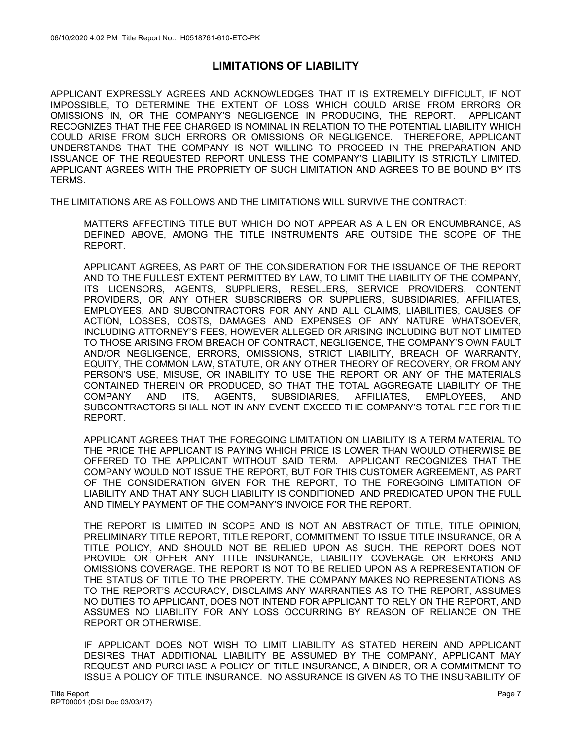## **LIMITATIONS OF LIABILITY**

APPLICANT EXPRESSLY AGREES AND ACKNOWLEDGES THAT IT IS EXTREMELY DIFFICULT, IF NOT IMPOSSIBLE, TO DETERMINE THE EXTENT OF LOSS WHICH COULD ARISE FROM ERRORS OR OMISSIONS IN, OR THE COMPANY'S NEGLIGENCE IN PRODUCING, THE REPORT. APPLICANT RECOGNIZES THAT THE FEE CHARGED IS NOMINAL IN RELATION TO THE POTENTIAL LIABILITY WHICH COULD ARISE FROM SUCH ERRORS OR OMISSIONS OR NEGLIGENCE. THEREFORE, APPLICANT UNDERSTANDS THAT THE COMPANY IS NOT WILLING TO PROCEED IN THE PREPARATION AND ISSUANCE OF THE REQUESTED REPORT UNLESS THE COMPANY'S LIABILITY IS STRICTLY LIMITED. APPLICANT AGREES WITH THE PROPRIETY OF SUCH LIMITATION AND AGREES TO BE BOUND BY ITS TERMS.

THE LIMITATIONS ARE AS FOLLOWS AND THE LIMITATIONS WILL SURVIVE THE CONTRACT:

MATTERS AFFECTING TITLE BUT WHICH DO NOT APPEAR AS A LIEN OR ENCUMBRANCE, AS DEFINED ABOVE, AMONG THE TITLE INSTRUMENTS ARE OUTSIDE THE SCOPE OF THE REPORT.

APPLICANT AGREES, AS PART OF THE CONSIDERATION FOR THE ISSUANCE OF THE REPORT AND TO THE FULLEST EXTENT PERMITTED BY LAW, TO LIMIT THE LIABILITY OF THE COMPANY, ITS LICENSORS, AGENTS, SUPPLIERS, RESELLERS, SERVICE PROVIDERS, CONTENT PROVIDERS, OR ANY OTHER SUBSCRIBERS OR SUPPLIERS, SUBSIDIARIES, AFFILIATES, EMPLOYEES, AND SUBCONTRACTORS FOR ANY AND ALL CLAIMS, LIABILITIES, CAUSES OF ACTION, LOSSES, COSTS, DAMAGES AND EXPENSES OF ANY NATURE WHATSOEVER, INCLUDING ATTORNEY'S FEES, HOWEVER ALLEGED OR ARISING INCLUDING BUT NOT LIMITED TO THOSE ARISING FROM BREACH OF CONTRACT, NEGLIGENCE, THE COMPANY'S OWN FAULT AND/OR NEGLIGENCE, ERRORS, OMISSIONS, STRICT LIABILITY, BREACH OF WARRANTY, EQUITY, THE COMMON LAW, STATUTE, OR ANY OTHER THEORY OF RECOVERY, OR FROM ANY PERSON'S USE, MISUSE, OR INABILITY TO USE THE REPORT OR ANY OF THE MATERIALS CONTAINED THEREIN OR PRODUCED, SO THAT THE TOTAL AGGREGATE LIABILITY OF THE COMPANY AND ITS, AGENTS, SUBSIDIARIES, AFFILIATES, EMPLOYEES, AND SUBCONTRACTORS SHALL NOT IN ANY EVENT EXCEED THE COMPANY'S TOTAL FEE FOR THE REPORT.

APPLICANT AGREES THAT THE FOREGOING LIMITATION ON LIABILITY IS A TERM MATERIAL TO THE PRICE THE APPLICANT IS PAYING WHICH PRICE IS LOWER THAN WOULD OTHERWISE BE OFFERED TO THE APPLICANT WITHOUT SAID TERM. APPLICANT RECOGNIZES THAT THE COMPANY WOULD NOT ISSUE THE REPORT, BUT FOR THIS CUSTOMER AGREEMENT, AS PART OF THE CONSIDERATION GIVEN FOR THE REPORT, TO THE FOREGOING LIMITATION OF LIABILITY AND THAT ANY SUCH LIABILITY IS CONDITIONED AND PREDICATED UPON THE FULL AND TIMELY PAYMENT OF THE COMPANY'S INVOICE FOR THE REPORT.

THE REPORT IS LIMITED IN SCOPE AND IS NOT AN ABSTRACT OF TITLE, TITLE OPINION, PRELIMINARY TITLE REPORT, TITLE REPORT, COMMITMENT TO ISSUE TITLE INSURANCE, OR A TITLE POLICY, AND SHOULD NOT BE RELIED UPON AS SUCH. THE REPORT DOES NOT PROVIDE OR OFFER ANY TITLE INSURANCE, LIABILITY COVERAGE OR ERRORS AND OMISSIONS COVERAGE. THE REPORT IS NOT TO BE RELIED UPON AS A REPRESENTATION OF THE STATUS OF TITLE TO THE PROPERTY. THE COMPANY MAKES NO REPRESENTATIONS AS TO THE REPORT'S ACCURACY, DISCLAIMS ANY WARRANTIES AS TO THE REPORT, ASSUMES NO DUTIES TO APPLICANT, DOES NOT INTEND FOR APPLICANT TO RELY ON THE REPORT, AND ASSUMES NO LIABILITY FOR ANY LOSS OCCURRING BY REASON OF RELIANCE ON THE REPORT OR OTHERWISE.

IF APPLICANT DOES NOT WISH TO LIMIT LIABILITY AS STATED HEREIN AND APPLICANT DESIRES THAT ADDITIONAL LIABILITY BE ASSUMED BY THE COMPANY, APPLICANT MAY REQUEST AND PURCHASE A POLICY OF TITLE INSURANCE, A BINDER, OR A COMMITMENT TO ISSUE A POLICY OF TITLE INSURANCE. NO ASSURANCE IS GIVEN AS TO THE INSURABILITY OF